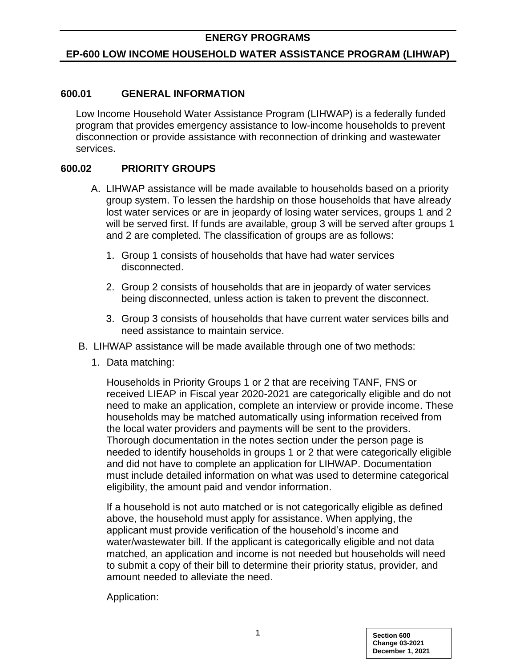#### **EP-600 LOW INCOME HOUSEHOLD WATER ASSISTANCE PROGRAM (LIHWAP)**

#### **600.01 GENERAL INFORMATION**

Low Income Household Water Assistance Program (LIHWAP) is a federally funded program that provides emergency assistance to low-income households to prevent disconnection or provide assistance with reconnection of drinking and wastewater services.

#### **600.02 PRIORITY GROUPS**

- A. LIHWAP assistance will be made available to households based on a priority group system. To lessen the hardship on those households that have already lost water services or are in jeopardy of losing water services, groups 1 and 2 will be served first. If funds are available, group 3 will be served after groups 1 and 2 are completed. The classification of groups are as follows:
	- 1. Group 1 consists of households that have had water services disconnected.
	- 2. Group 2 consists of households that are in jeopardy of water services being disconnected, unless action is taken to prevent the disconnect.
	- 3. Group 3 consists of households that have current water services bills and need assistance to maintain service.
- B. LIHWAP assistance will be made available through one of two methods:
	- 1. Data matching:

Households in Priority Groups 1 or 2 that are receiving TANF, FNS or received LIEAP in Fiscal year 2020-2021 are categorically eligible and do not need to make an application, complete an interview or provide income. These households may be matched automatically using information received from the local water providers and payments will be sent to the providers. Thorough documentation in the notes section under the person page is needed to identify households in groups 1 or 2 that were categorically eligible and did not have to complete an application for LIHWAP. Documentation must include detailed information on what was used to determine categorical eligibility, the amount paid and vendor information.

If a household is not auto matched or is not categorically eligible as defined above, the household must apply for assistance. When applying, the applicant must provide verification of the household's income and water/wastewater bill. If the applicant is categorically eligible and not data matched, an application and income is not needed but households will need to submit a copy of their bill to determine their priority status, provider, and amount needed to alleviate the need.

Application: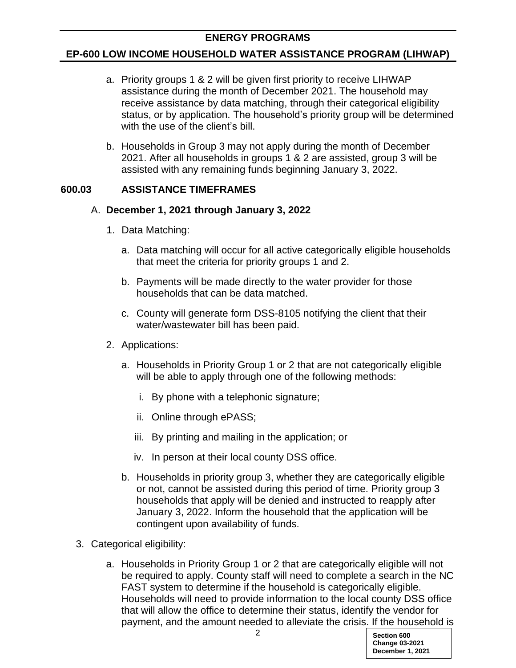## **EP-600 LOW INCOME HOUSEHOLD WATER ASSISTANCE PROGRAM (LIHWAP)**

- a. Priority groups 1 & 2 will be given first priority to receive LIHWAP assistance during the month of December 2021. The household may receive assistance by data matching, through their categorical eligibility status, or by application. The household's priority group will be determined with the use of the client's bill.
- b. Households in Group 3 may not apply during the month of December 2021. After all households in groups 1 & 2 are assisted, group 3 will be assisted with any remaining funds beginning January 3, 2022.

# **600.03 ASSISTANCE TIMEFRAMES**

### A. **December 1, 2021 through January 3, 2022**

- 1. Data Matching:
	- a. Data matching will occur for all active categorically eligible households that meet the criteria for priority groups 1 and 2.
	- b. Payments will be made directly to the water provider for those households that can be data matched.
	- c. County will generate form DSS-8105 notifying the client that their water/wastewater bill has been paid.
- 2. Applications:
	- a. Households in Priority Group 1 or 2 that are not categorically eligible will be able to apply through one of the following methods:
		- i. By phone with a telephonic signature;
		- ii. Online through ePASS;
		- iii. By printing and mailing in the application; or
		- iv. In person at their local county DSS office.
	- b. Households in priority group 3, whether they are categorically eligible or not, cannot be assisted during this period of time. Priority group 3 households that apply will be denied and instructed to reapply after January 3, 2022. Inform the household that the application will be contingent upon availability of funds.
- 3. Categorical eligibility:
	- a. Households in Priority Group 1 or 2 that are categorically eligible will not be required to apply. County staff will need to complete a search in the NC FAST system to determine if the household is categorically eligible. Households will need to provide information to the local county DSS office that will allow the office to determine their status, identify the vendor for payment, and the amount needed to alleviate the crisis. If the household is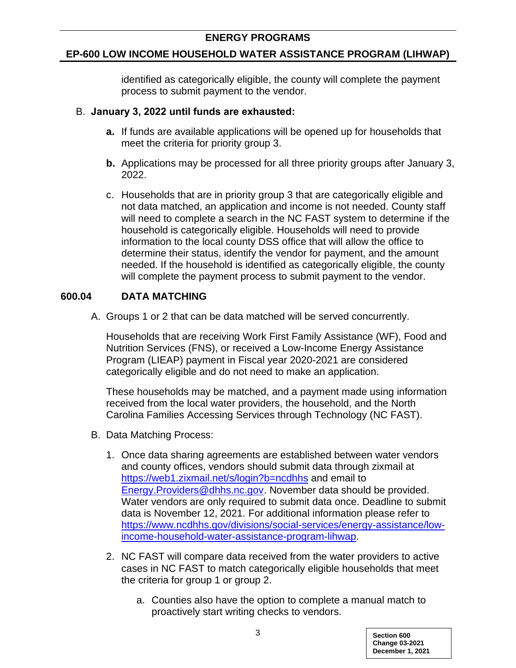# **EP-600 LOW INCOME HOUSEHOLD WATER ASSISTANCE PROGRAM (LIHWAP)**

identified as categorically eligible, the county will complete the payment process to submit payment to the vendor.

### B. **January 3, 2022 until funds are exhausted:**

- **a.** If funds are available applications will be opened up for households that meet the criteria for priority group 3.
- **b.** Applications may be processed for all three priority groups after January 3, 2022.
- c. Households that are in priority group 3 that are categorically eligible and not data matched, an application and income is not needed. County staff will need to complete a search in the NC FAST system to determine if the household is categorically eligible. Households will need to provide information to the local county DSS office that will allow the office to determine their status, identify the vendor for payment, and the amount needed. If the household is identified as categorically eligible, the county will complete the payment process to submit payment to the vendor.

# **600.04 DATA MATCHING**

A. Groups 1 or 2 that can be data matched will be served concurrently.

Households that are receiving Work First Family Assistance (WF), Food and Nutrition Services (FNS), or received a Low-Income Energy Assistance Program (LIEAP) payment in Fiscal year 2020-2021 are considered categorically eligible and do not need to make an application.

These households may be matched, and a payment made using information received from the local water providers, the household, and the North Carolina Families Accessing Services through Technology (NC FAST).

- B. Data Matching Process:
	- 1. Once data sharing agreements are established between water vendors and county offices, vendors should submit data through zixmail at <https://web1.zixmail.net/s/login?b=ncdhhs> and email to [Energy.Providers@dhhs.nc.gov.](mailto:Energy.Providers@dhhs.nc.gov) November data should be provided. Water vendors are only required to submit data once. Deadline to submit data is November 12, 2021. For additional information please refer to [https://www.ncdhhs.gov/divisions/social-services/energy-assistance/low](https://www.ncdhhs.gov/divisions/social-services/energy-assistance/low-income-household-water-assistance-program-lihwap)[income-household-water-assistance-program-lihwap.](https://www.ncdhhs.gov/divisions/social-services/energy-assistance/low-income-household-water-assistance-program-lihwap)
	- 2. NC FAST will compare data received from the water providers to active cases in NC FAST to match categorically eligible households that meet the criteria for group 1 or group 2.
		- a. Counties also have the option to complete a manual match to proactively start writing checks to vendors.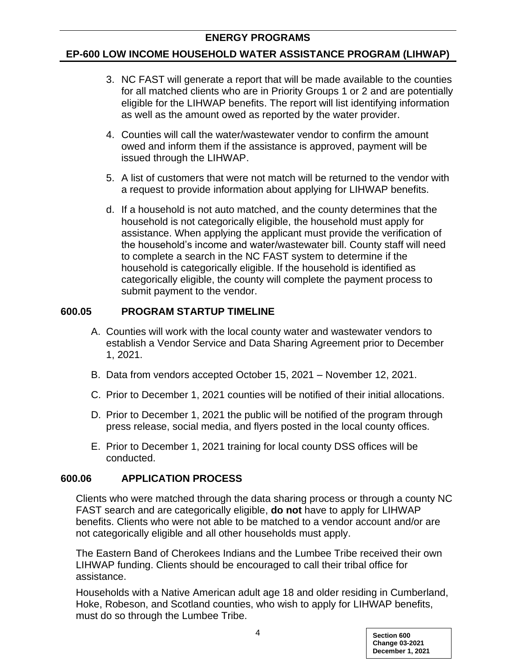#### **EP-600 LOW INCOME HOUSEHOLD WATER ASSISTANCE PROGRAM (LIHWAP)**

- 3. NC FAST will generate a report that will be made available to the counties for all matched clients who are in Priority Groups 1 or 2 and are potentially eligible for the LIHWAP benefits. The report will list identifying information as well as the amount owed as reported by the water provider.
- 4. Counties will call the water/wastewater vendor to confirm the amount owed and inform them if the assistance is approved, payment will be issued through the LIHWAP.
- 5. A list of customers that were not match will be returned to the vendor with a request to provide information about applying for LIHWAP benefits.
- d. If a household is not auto matched, and the county determines that the household is not categorically eligible, the household must apply for assistance. When applying the applicant must provide the verification of the household's income and water/wastewater bill. County staff will need to complete a search in the NC FAST system to determine if the household is categorically eligible. If the household is identified as categorically eligible, the county will complete the payment process to submit payment to the vendor.

# **600.05 PROGRAM STARTUP TIMELINE**

- A. Counties will work with the local county water and wastewater vendors to establish a Vendor Service and Data Sharing Agreement prior to December 1, 2021.
- B. Data from vendors accepted October 15, 2021 November 12, 2021.
- C. Prior to December 1, 2021 counties will be notified of their initial allocations.
- D. Prior to December 1, 2021 the public will be notified of the program through press release, social media, and flyers posted in the local county offices.
- E. Prior to December 1, 2021 training for local county DSS offices will be conducted.

### **600.06 APPLICATION PROCESS**

Clients who were matched through the data sharing process or through a county NC FAST search and are categorically eligible, **do not** have to apply for LIHWAP benefits. Clients who were not able to be matched to a vendor account and/or are not categorically eligible and all other households must apply.

The Eastern Band of Cherokees Indians and the Lumbee Tribe received their own LIHWAP funding. Clients should be encouraged to call their tribal office for assistance.

Households with a Native American adult age 18 and older residing in Cumberland, Hoke, Robeson, and Scotland counties, who wish to apply for LIHWAP benefits, must do so through the Lumbee Tribe.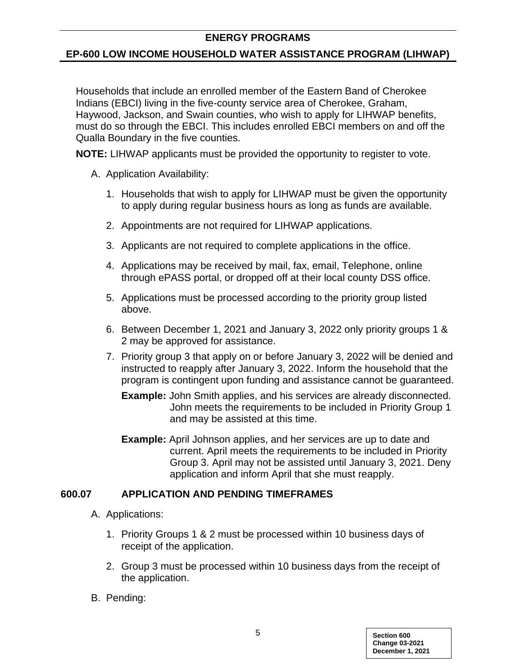### **EP-600 LOW INCOME HOUSEHOLD WATER ASSISTANCE PROGRAM (LIHWAP)**

Households that include an enrolled member of the Eastern Band of Cherokee Indians (EBCI) living in the five-county service area of Cherokee, Graham, Haywood, Jackson, and Swain counties, who wish to apply for LIHWAP benefits, must do so through the EBCI. This includes enrolled EBCI members on and off the Qualla Boundary in the five counties.

**NOTE:** LIHWAP applicants must be provided the opportunity to register to vote.

- A. Application Availability:
	- 1. Households that wish to apply for LIHWAP must be given the opportunity to apply during regular business hours as long as funds are available.
	- 2. Appointments are not required for LIHWAP applications.
	- 3. Applicants are not required to complete applications in the office.
	- 4. Applications may be received by mail, fax, email, Telephone, online through ePASS portal, or dropped off at their local county DSS office.
	- 5. Applications must be processed according to the priority group listed above.
	- 6. Between December 1, 2021 and January 3, 2022 only priority groups 1 & 2 may be approved for assistance.
	- 7. Priority group 3 that apply on or before January 3, 2022 will be denied and instructed to reapply after January 3, 2022. Inform the household that the program is contingent upon funding and assistance cannot be guaranteed.
		- **Example:** John Smith applies, and his services are already disconnected. John meets the requirements to be included in Priority Group 1 and may be assisted at this time.
		- **Example:** April Johnson applies, and her services are up to date and current. April meets the requirements to be included in Priority Group 3. April may not be assisted until January 3, 2021. Deny application and inform April that she must reapply.

# **600.07 APPLICATION AND PENDING TIMEFRAMES**

- A. Applications:
	- 1. Priority Groups 1 & 2 must be processed within 10 business days of receipt of the application.
	- 2. Group 3 must be processed within 10 business days from the receipt of the application.
- B. Pending: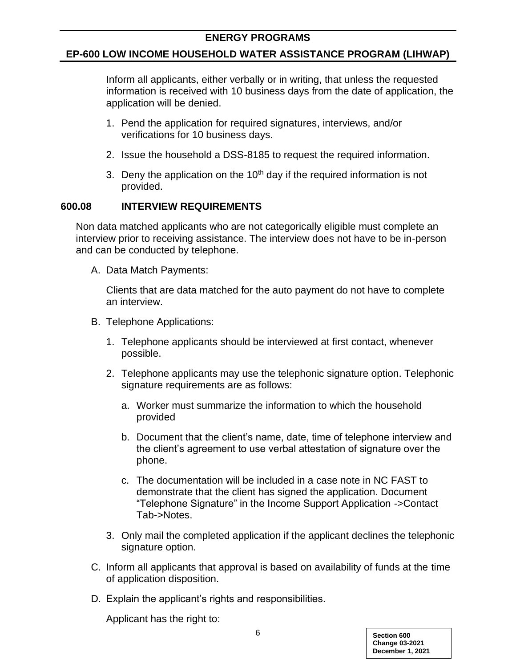#### **EP-600 LOW INCOME HOUSEHOLD WATER ASSISTANCE PROGRAM (LIHWAP)**

Inform all applicants, either verbally or in writing, that unless the requested information is received with 10 business days from the date of application, the application will be denied.

- 1. Pend the application for required signatures, interviews, and/or verifications for 10 business days.
- 2. Issue the household a DSS-8185 to request the required information.
- 3. Deny the application on the  $10<sup>th</sup>$  day if the required information is not provided.

### **600.08 INTERVIEW REQUIREMENTS**

Non data matched applicants who are not categorically eligible must complete an interview prior to receiving assistance. The interview does not have to be in-person and can be conducted by telephone.

A. Data Match Payments:

Clients that are data matched for the auto payment do not have to complete an interview.

- B. Telephone Applications:
	- 1. Telephone applicants should be interviewed at first contact, whenever possible.
	- 2. Telephone applicants may use the telephonic signature option. Telephonic signature requirements are as follows:
		- a. Worker must summarize the information to which the household provided
		- b. Document that the client's name, date, time of telephone interview and the client's agreement to use verbal attestation of signature over the phone.
		- c. The documentation will be included in a case note in NC FAST to demonstrate that the client has signed the application. Document "Telephone Signature" in the Income Support Application ->Contact Tab->Notes.
	- 3. Only mail the completed application if the applicant declines the telephonic signature option.
- C. Inform all applicants that approval is based on availability of funds at the time of application disposition.
- D. Explain the applicant's rights and responsibilities.

Applicant has the right to: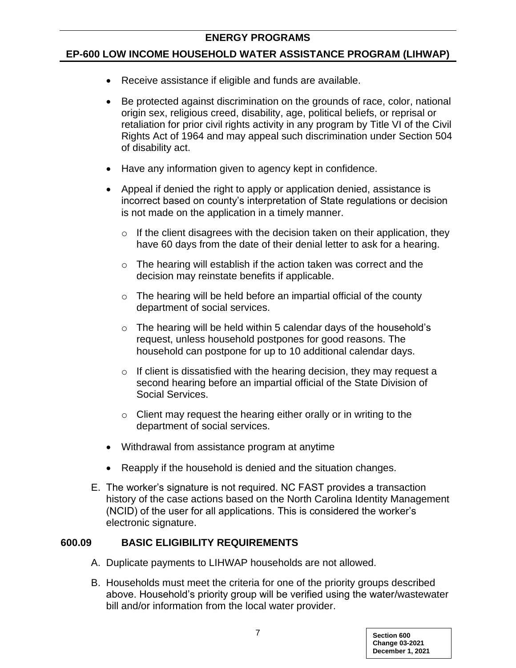#### **EP-600 LOW INCOME HOUSEHOLD WATER ASSISTANCE PROGRAM (LIHWAP)**

- Receive assistance if eligible and funds are available.
- Be protected against discrimination on the grounds of race, color, national origin sex, religious creed, disability, age, political beliefs, or reprisal or retaliation for prior civil rights activity in any program by Title VI of the Civil Rights Act of 1964 and may appeal such discrimination under Section 504 of disability act.
- Have any information given to agency kept in confidence.
- Appeal if denied the right to apply or application denied, assistance is incorrect based on county's interpretation of State regulations or decision is not made on the application in a timely manner.
	- $\circ$  If the client disagrees with the decision taken on their application, they have 60 days from the date of their denial letter to ask for a hearing.
	- o The hearing will establish if the action taken was correct and the decision may reinstate benefits if applicable.
	- $\circ$  The hearing will be held before an impartial official of the county department of social services.
	- $\circ$  The hearing will be held within 5 calendar days of the household's request, unless household postpones for good reasons. The household can postpone for up to 10 additional calendar days.
	- $\circ$  If client is dissatisfied with the hearing decision, they may request a second hearing before an impartial official of the State Division of Social Services.
	- $\circ$  Client may request the hearing either orally or in writing to the department of social services.
- Withdrawal from assistance program at anytime
- Reapply if the household is denied and the situation changes.
- E. The worker's signature is not required. NC FAST provides a transaction history of the case actions based on the North Carolina Identity Management (NCID) of the user for all applications. This is considered the worker's electronic signature.

### **600.09 BASIC ELIGIBILITY REQUIREMENTS**

- A. Duplicate payments to LIHWAP households are not allowed.
- B. Households must meet the criteria for one of the priority groups described above. Household's priority group will be verified using the water/wastewater bill and/or information from the local water provider.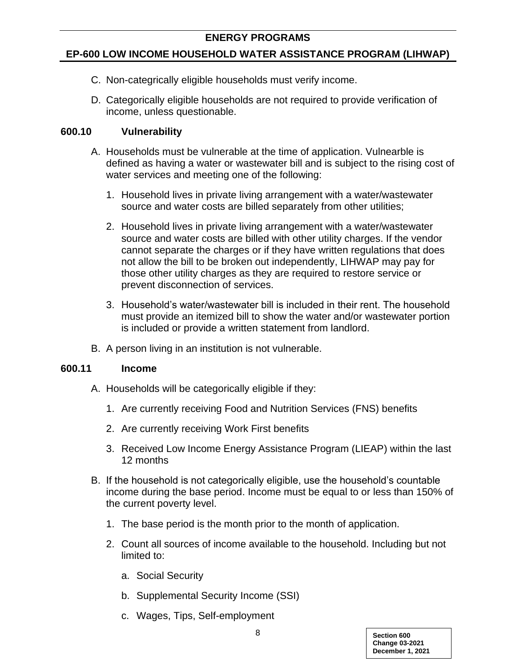# **EP-600 LOW INCOME HOUSEHOLD WATER ASSISTANCE PROGRAM (LIHWAP)**

- C. Non-categrically eligible households must verify income.
- D. Categorically eligible households are not required to provide verification of income, unless questionable.

### **600.10 Vulnerability**

- A. Households must be vulnerable at the time of application. Vulnearble is defined as having a water or wastewater bill and is subject to the rising cost of water services and meeting one of the following:
	- 1. Household lives in private living arrangement with a water/wastewater source and water costs are billed separately from other utilities;
	- 2. Household lives in private living arrangement with a water/wastewater source and water costs are billed with other utility charges. If the vendor cannot separate the charges or if they have written regulations that does not allow the bill to be broken out independently, LIHWAP may pay for those other utility charges as they are required to restore service or prevent disconnection of services.
	- 3. Household's water/wastewater bill is included in their rent. The household must provide an itemized bill to show the water and/or wastewater portion is included or provide a written statement from landlord.
- B. A person living in an institution is not vulnerable.

### **600.11 Income**

- A. Households will be categorically eligible if they:
	- 1. Are currently receiving Food and Nutrition Services (FNS) benefits
	- 2. Are currently receiving Work First benefits
	- 3. Received Low Income Energy Assistance Program (LIEAP) within the last 12 months
- B. If the household is not categorically eligible, use the household's countable income during the base period. Income must be equal to or less than 150% of the current poverty level.
	- 1. The base period is the month prior to the month of application.
	- 2. Count all sources of income available to the household. Including but not limited to:
		- a. Social Security
		- b. Supplemental Security Income (SSI)
		- c. Wages, Tips, Self-employment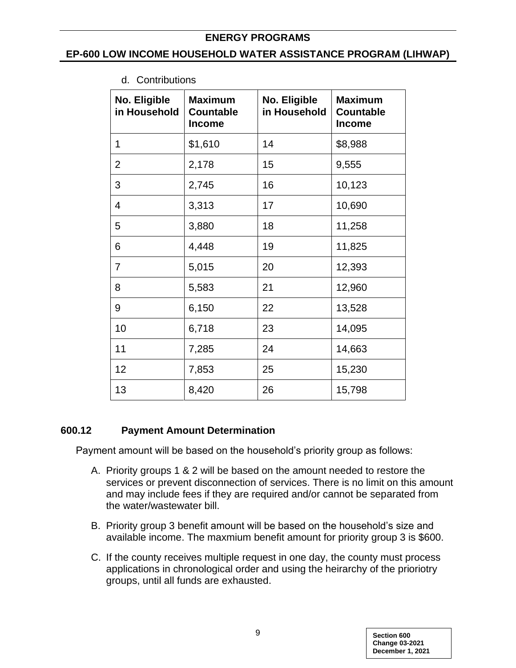#### **EP-600 LOW INCOME HOUSEHOLD WATER ASSISTANCE PROGRAM (LIHWAP)**

- **No. Eligible in Household Maximum Countable Income No. Eligible in Household Maximum Countable Income**  1  $\vert$  \$1,610 | 14 | \$8,988 2 2,178 15 9,555 3 2,745 16 10,123 4 3,313 17 10,690 5 3,880 18 11,258 6 4,448 19 11,825 7 5,015 20 12,393 8 5,583 21 12,960 9 6,150 22 13,528 10 6,718 23 14,095 11 7,285 24 14,663 12 7,853 25 15,230 13 | 8,420 | 26 | 15,798
- d. Contributions

# **600.12 Payment Amount Determination**

Payment amount will be based on the household's priority group as follows:

- A. Priority groups 1 & 2 will be based on the amount needed to restore the services or prevent disconnection of services. There is no limit on this amount and may include fees if they are required and/or cannot be separated from the water/wastewater bill.
- B. Priority group 3 benefit amount will be based on the household's size and available income. The maxmium benefit amount for priority group 3 is \$600.
- C. If the county receives multiple request in one day, the county must process applications in chronological order and using the heirarchy of the prioriotry groups, until all funds are exhausted.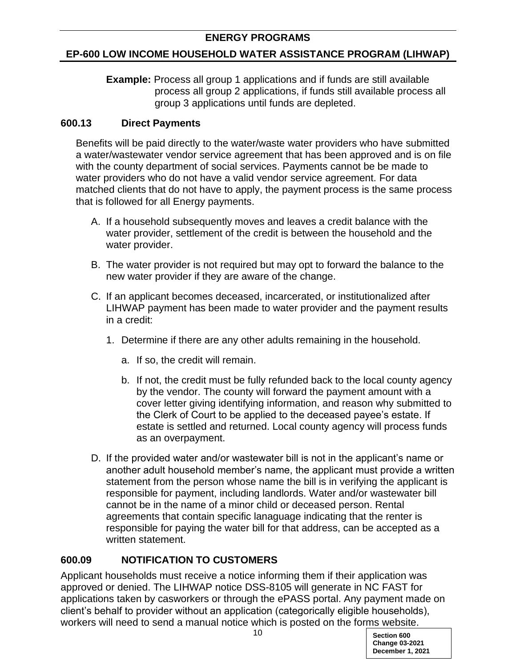# **EP-600 LOW INCOME HOUSEHOLD WATER ASSISTANCE PROGRAM (LIHWAP)**

**Example:** Process all group 1 applications and if funds are still available process all group 2 applications, if funds still available process all group 3 applications until funds are depleted.

# **600.13 Direct Payments**

Benefits will be paid directly to the water/waste water providers who have submitted a water/wastewater vendor service agreement that has been approved and is on file with the county department of social services. Payments cannot be be made to water providers who do not have a valid vendor service agreement. For data matched clients that do not have to apply, the payment process is the same process that is followed for all Energy payments.

- A. If a household subsequently moves and leaves a credit balance with the water provider, settlement of the credit is between the household and the water provider.
- B. The water provider is not required but may opt to forward the balance to the new water provider if they are aware of the change.
- C. If an applicant becomes deceased, incarcerated, or institutionalized after LIHWAP payment has been made to water provider and the payment results in a credit:
	- 1. Determine if there are any other adults remaining in the household.
		- a. If so, the credit will remain.
		- b. If not, the credit must be fully refunded back to the local county agency by the vendor. The county will forward the payment amount with a cover letter giving identifying information, and reason why submitted to the Clerk of Court to be applied to the deceased payee's estate. If estate is settled and returned. Local county agency will process funds as an overpayment.
- D. If the provided water and/or wastewater bill is not in the applicant's name or another adult household member's name, the applicant must provide a written statement from the person whose name the bill is in verifying the applicant is responsible for payment, including landlords. Water and/or wastewater bill cannot be in the name of a minor child or deceased person. Rental agreements that contain specific lanaguage indicating that the renter is responsible for paying the water bill for that address, can be accepted as a written statement.

# **600.09 NOTIFICATION TO CUSTOMERS**

Applicant households must receive a notice informing them if their application was approved or denied. The LIHWAP notice DSS-8105 will generate in NC FAST for applications taken by casworkers or through the ePASS portal. Any payment made on client's behalf to provider without an application (categorically eligible households), workers will need to send a manual notice which is posted on the forms website.